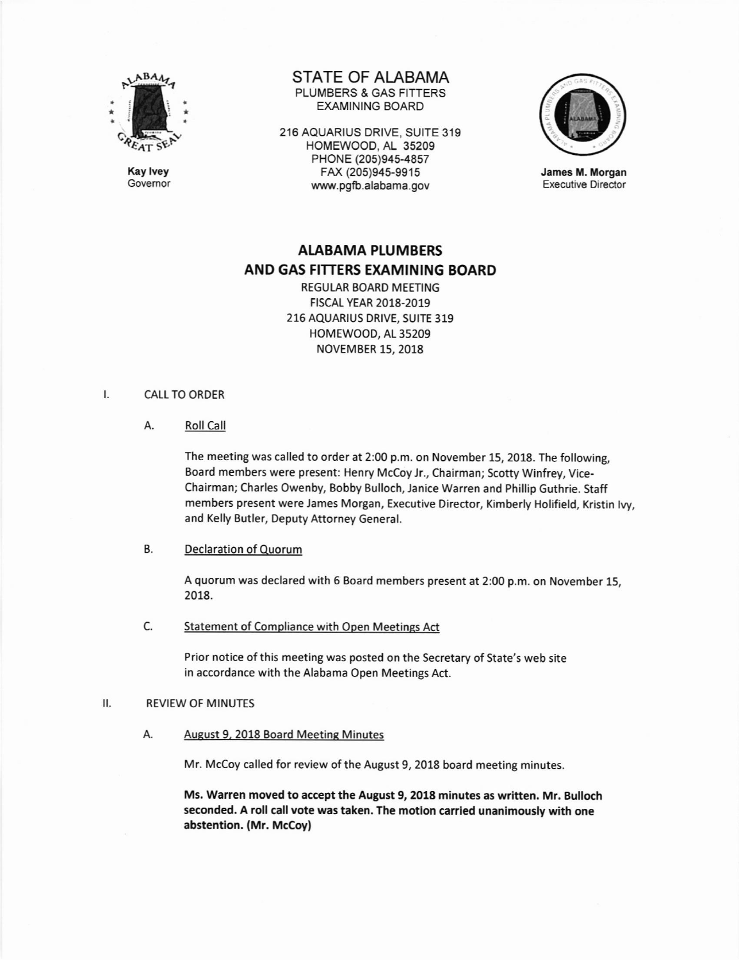

Kay lvey Govemor STATE OF ALABAMA PLUMBERS & GAS FITTERS EXAMINING BOARD

216 AQUARIUS ORIVE, SUITE 319 HOMEWOOO, AL 35209 PHONE (205)945-4857 FAX (205)945-9915 www.pgfb.alabama.gov



James M. Morgan Executive Director

# AIABAMA PLUMBERS AND GAS FITTERS EXAMINING BOARD

REGULAR BOARD MEETING F|SCAL YEAR 2018-2019 216 AQUARIUS DRIVE, SUITE 319 HOMEWOOD, AL 35209 NOVEMBER 15, 2018

### Ι. CALL TO ORDER

A. Roll Call

The meeting was called to order at 2:00 p.m. on November 15, 2018. The following, Board members were present: Henry Mccoy Jr., Chairman; Scotty Winfrey, Vice-Chairman; Charles Owenby, Bobby Bulloch, Janice Warren and Phillip Guthrie. Staff members present were James Morgan, Executive Director, Kimberly Holifield, Kristin lvy, and Kelly Butler, Deputy Attorney General.

## B. Declaration of Ouorum

A quorum was declared with 6 Board members present at 2:00 p.m. on November 15, 2018.

C. Statement of Compliance with Open Meetings Act

Prior notice of this meeting was posted on the Secretary of State's web site in accordance with the Alabama Open Meetings Act.

### REVIEW OF MINUTES  $II.$

A. August 9, 2018 Board Meeting Minutes

Mr. McCoy called for review of the August 9, 2018 board meeting minutes.

Ms. Warren moved to accept the August 9, 2018 minutes as written. Mr. Bulloch seconded. A roll call vote was taken. The motion carried unanimously with one abstention. (Mr. McCoy)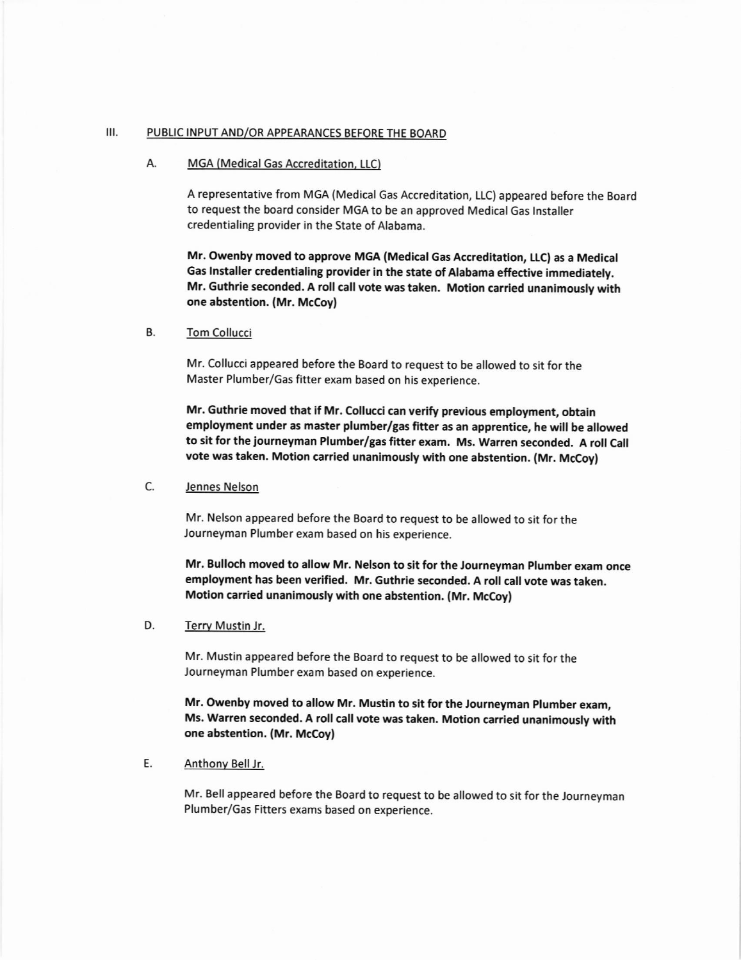## III. PUBLIC INPUT AND/OR APPEARANCES BEFORE THE BOARD

## A. MGA (Medical Gas Accreditation, LLC)

A representative from MGA (Medical Gas Accreditation, LLC) appeared before the Board to request the board consider MGA to be an approved Medical Gas lnstaller credentialing provider in the State of Alabama.

Mr. Owenby moved to approve MGA (Medical Gas Accreditation, LLCI as a Medical Gas Installer credentialing provider in the state of Alabama effective immediately. Mr, Guthrie seconded. A roll call vote was taken. Motion carried unanimously with one abstention. {Mr. McCoy}

### B. Tom Collucci

Mr. Collucci appeared before the Board to request to be allowed to sit for the Master Plumber/Gas fitter exam based on his experience.

Mr. Guthrie moved that if Mr. Collucci can verify previous employment, obtain employment under as master plumber/gas fitter as an apprentice, he will be allowed to sit for the journeyman Plumber/gas fitter exam. Ms. Warren seconded. A roll Call vote was taken. Motion carried unanimously with one abstention. (Mr. McCoy)

## C. Jennes Nelson

Mr. Nelson appeared before the Board to request to be allowed to sit for the Journeyman Plumber exam based on his experience.

Mr. Bulloch moved to allow Mr. Nelson to sit for the Journeyman plumber exam once employment has been verified. Mr. Guthrie seconded. A roll call vote was taken. Motion carried unanimously with one abstention. (Mr. Mccoy)

## D. Terry Mustin Jr.

Mr. Mustin appeared before the Board to request to be allowed to sit for the Journeyman Plumber exam based on experience.

Mr, Owenby moved to allow Mr. Mustin to sit for the Journeyman plumber exam, Ms. Warren seconded. A roll call vote was taken. Motion carried unanimously wlth one abstention. (Mr. McCoy)

## E, Anthony Bell lr

Mr. Bell appeared before the Board to request to be allowed to sit for the Journeyman Plumber/Gas Fitters exams based on experience.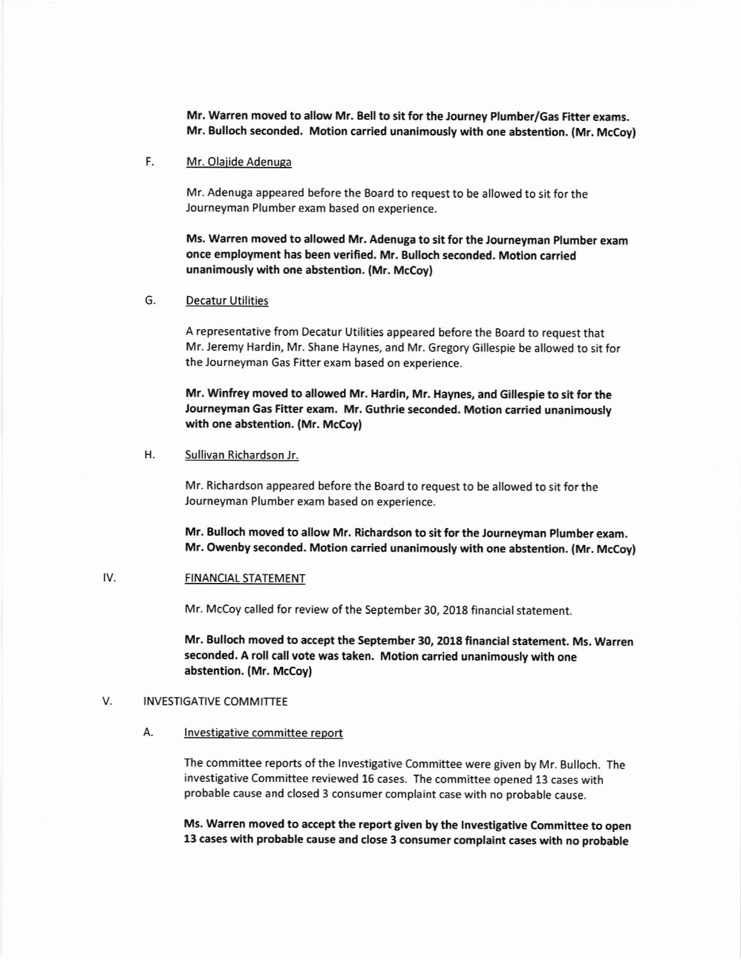Mr. Warren moved to allow Mr. Bell to sit for the Journey Plumber/Gas Fitter exams. Mr. Bulloch seconded, Motion carried unanimously with one abstention. (Mr, McCoy)

## F. Mr. Olajide Adenuga

Mr. Adenuga appeared before the Board to request to be allowed to sit for the Journeyman Plumber exam based on experience,

Ms. warren moved to allowed Mr. Adenuga to sit for the Journeyman plumber exam once employment has been yerified, Mr. Bulloch seconded. Motion carried unanimously with one abstention. (Mr. McCoy)

## G. Decatur Utilities

A representative from Decatur Utilities appeared before the Board to request that Mr. Jeremy Hardin, Mr. Shane Haynes, and Mr. Gregory Gillespie be allowed to sit for the Journeyman Gas Fitter exam based on experience.

Mr. Winfrey moved to allowed Mr. Hardin, Mr. Haynes, and Gillespie to sit for the Journeyman Gas Fitter exam. Mr. Guthrie seconded. Motion carried unanimously with one abstention. (Mr. McCoy)

## H. Sullivan Richardson Jr.

Mr. Richardson appeared before the Board to request to be allowed to sit for the Journeyman Plumber exam based on experience.

Mr, Bulloch moved to allow Mr. Richardson to sit for the Journeyman plumber exam. Mr. Owenby seconded. Motion carried unanimously with one abstention. (Mr. McCoy)

### IV. FINANCIAL STATEMENT

Mr. McCoy called for review of the September 30, 2018 financial statement

Mr. Bulloch moved to accept the September 30, 2018 financial statement. Ms. Warren seconded. A roll call vote was taken. Motion carried unanimously with one abstention. (Mr. Mccoy)

#### V. INVESTIGATIVE COMMITTEE

## A. **Investigative committee report**

The committee reports of the lnvestigative Committee were given by Mr. Bulloch. The investigative Committee reviewed 16 cases. The committee opened 13 cases with probable cause and closed 3 consumer complaint case with no probable cause.

Ms. Warren moved to accept the report given by the Investigative Committee to open 13 cases with probable cause and close 3 consumer complaint cases with no probable